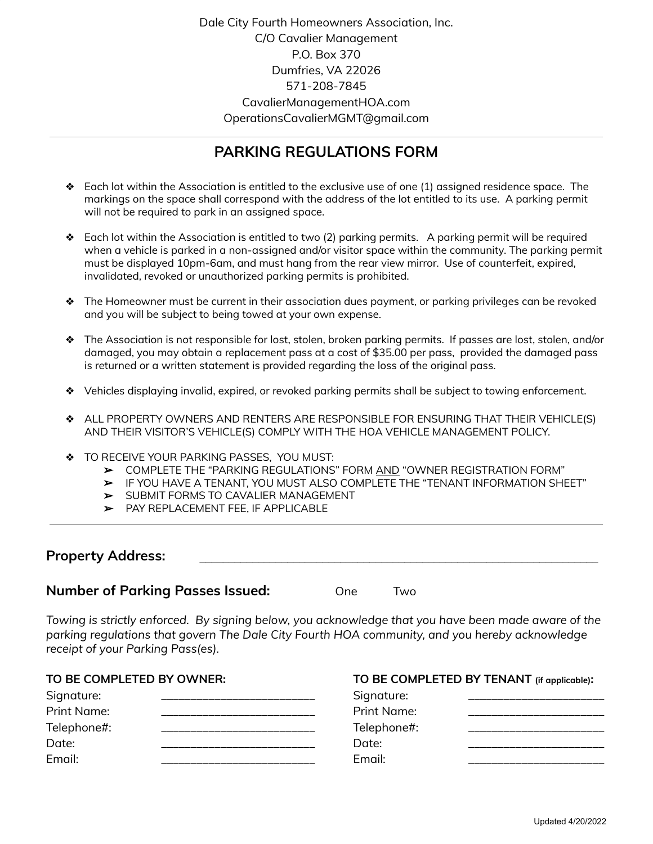Dale City Fourth Homeowners Association, Inc. C/O Cavalier Management P.O. Box 370 Dumfries, VA 22026 571-208-7845 CavalierManagementHOA.com OperationsCavalierMGMT@gmail.com

# **PARKING REGULATIONS FORM**

- ❖ Each lot within the Association is entitled to the exclusive use of one (1) assigned residence space. The markings on the space shall correspond with the address of the lot entitled to its use. A parking permit will not be required to park in an assigned space.
- ❖ Each lot within the Association is entitled to two (2) parking permits. A parking permit will be required when a vehicle is parked in a non-assigned and/or visitor space within the community. The parking permit must be displayed 10pm-6am, and must hang from the rear view mirror. Use of counterfeit, expired, invalidated, revoked or unauthorized parking permits is prohibited.
- ❖ The Homeowner must be current in their association dues payment, or parking privileges can be revoked and you will be subject to being towed at your own expense.
- ❖ The Association is not responsible for lost, stolen, broken parking permits. If passes are lost, stolen, and/or damaged, you may obtain a replacement pass at a cost of \$35.00 per pass, provided the damaged pass is returned or a written statement is provided regarding the loss of the original pass.
- ❖ Vehicles displaying invalid, expired, or revoked parking permits shall be subject to towing enforcement.
- ❖ ALL PROPERTY OWNERS AND RENTERS ARE RESPONSIBLE FOR ENSURING THAT THEIR VEHICLE(S) AND THEIR VISITOR'S VEHICLE(S) COMPLY WITH THE HOA VEHICLE MANAGEMENT POLICY.
- ❖ TO RECEIVE YOUR PARKING PASSES, YOU MUST:
	- ➢ COMPLETE THE "PARKING REGULATIONS" FORM AND "OWNER REGISTRATION FORM"
	- ➢ IF YOU HAVE A TENANT, YOU MUST ALSO COMPLETE THE "TENANT INFORMATION SHEET"
	- ➢ SUBMIT FORMS TO CAVALIER MANAGEMENT
	- ➢ PAY REPLACEMENT FEE, IF APPLICABLE

### **Property Address:**

#### **Number of Parking Passes Issued:**

| One) |  | <u>Iwo</u> |
|------|--|------------|
|------|--|------------|

*Towing is strictly enforced. By signing below, you acknowledge that you have been made aware of the parking regulations that govern The Dale City Fourth HOA community, and you hereby acknowledge receipt of your Parking Pass(es).*

| TO BE COMPLETED BY OWNER: |             | TO BE COMPLETED BY TENANT (if applicable): |  |
|---------------------------|-------------|--------------------------------------------|--|
| Signature:                | Signature:  |                                            |  |
| <b>Print Name:</b>        | Print Name: |                                            |  |
| Telephone#:               | Telephone#: |                                            |  |
| Date:                     | Date:       |                                            |  |
| Email:                    | Fmail:      |                                            |  |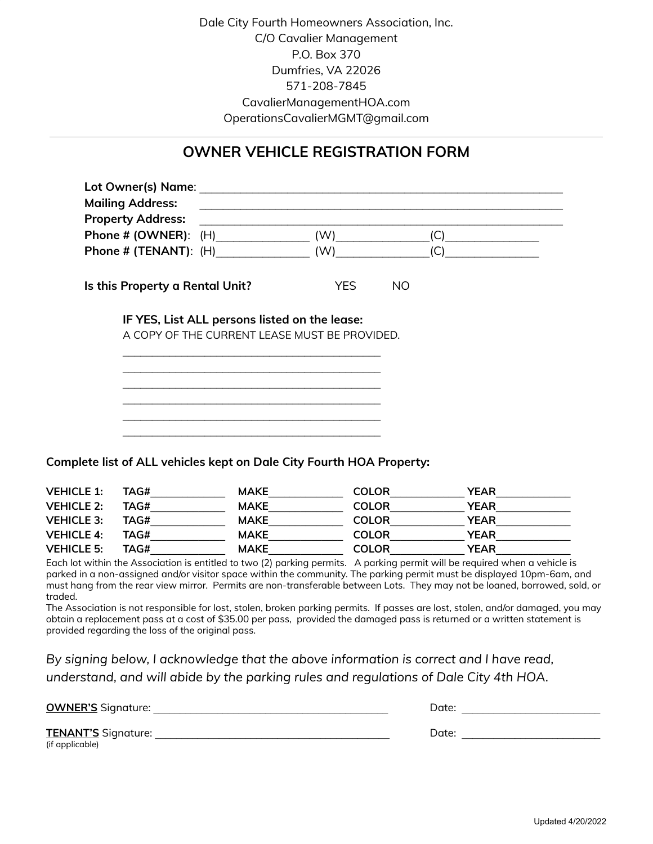Dale City Fourth Homeowners Association, Inc. C/O Cavalier Management P.O. Box 370 Dumfries, VA 22026 571-208-7845 CavalierManagementHOA.com OperationsCavalierMGMT@gmail.com

### **OWNER VEHICLE REGISTRATION FORM**

| Lot Owner(s) Name: Name and Solid Assembly and Solid Assembly and Solid Assembly and Solid Assembly<br><b>Mailing Address:</b> |                         |  |
|--------------------------------------------------------------------------------------------------------------------------------|-------------------------|--|
| <b>Property Address:</b>                                                                                                       |                         |  |
| Phone $\#$ (OWNER): $(H)$                                                                                                      | (W)<br>(C)              |  |
| Phone # (TENANT): $(H)$                                                                                                        | (W)<br>(C)              |  |
| Is this Property a Rental Unit?                                                                                                | <b>YES</b><br><b>NO</b> |  |
| IF YES, List ALL persons listed on the lease:<br>A COPY OF THE CURRENT LEASE MUST BE PROVIDED.                                 |                         |  |
|                                                                                                                                |                         |  |
|                                                                                                                                |                         |  |
|                                                                                                                                |                         |  |

**Complete list of ALL vehicles kept on Dale City Fourth HOA Property:**

| <b>VEHICLE 1:</b> | TAG# | <b>MAKE</b> | <b>COLOR</b> | <b>YEAR</b> |
|-------------------|------|-------------|--------------|-------------|
| <b>VEHICLE 2:</b> | TAG# | <b>MAKE</b> | <b>COLOR</b> | <b>YEAR</b> |
| <b>VEHICLE 3:</b> | TAG# | <b>MAKE</b> | <b>COLOR</b> | YEAR        |
| <b>VEHICLE 4:</b> | TAG# | <b>MAKE</b> | <b>COLOR</b> | <b>YEAR</b> |
| <b>VEHICLE 5:</b> | TAG# | <b>MAKE</b> | <b>COLOR</b> | YEAR        |

Each lot within the Association is entitled to two (2) parking permits. A parking permit will be required when a vehicle is parked in a non-assigned and/or visitor space within the community. The parking permit must be displayed 10pm-6am, and must hang from the rear view mirror. Permits are non-transferable between Lots. They may not be loaned, borrowed, sold, or traded.

The Association is not responsible for lost, stolen, broken parking permits. If passes are lost, stolen, and/or damaged, you may obtain a replacement pass at a cost of \$35.00 per pass, provided the damaged pass is returned or a written statement is provided regarding the loss of the original pass.

*By signing below, I acknowledge that the above information is correct and I have read, understand, and will abide by the parking rules and regulations of Dale City 4th HOA.*

| <b>OWNER'S</b> Signature:                     | Date: |
|-----------------------------------------------|-------|
| <b>TENANT'S Signature:</b><br>(if applicable) | Date: |